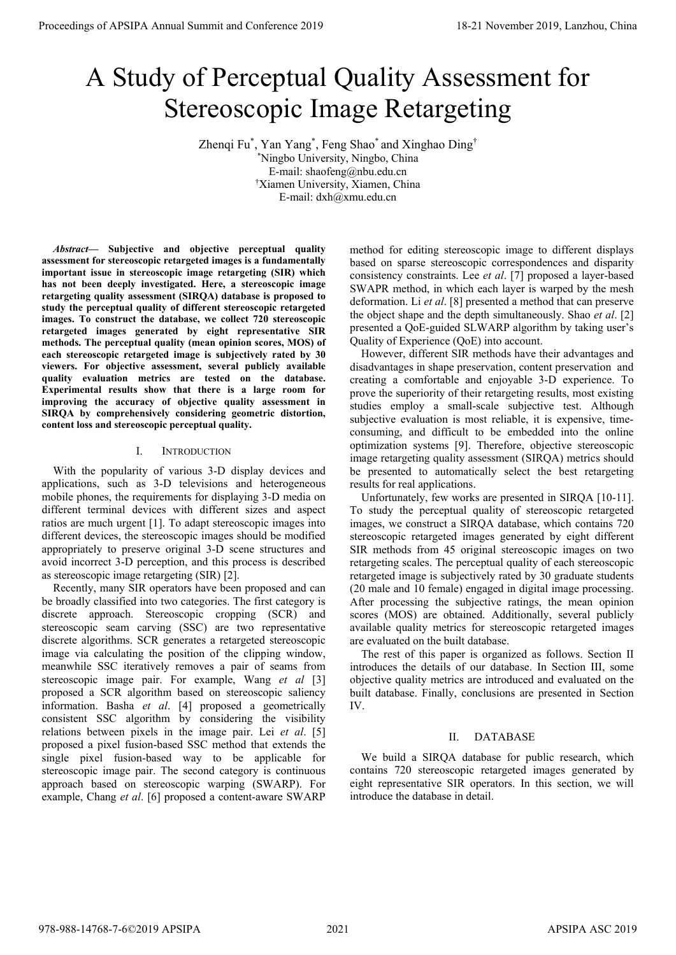# A Study of Perceptual Quality Assessment for Stereoscopic Image Retargeting

Zhenqi Fu<sup>\*</sup>, Yan Yang<sup>\*</sup>, Feng Shao<sup>\*</sup> and Xinghao Ding<sup>†</sup> \* Ningbo University, Ningbo, China E-mail: shaofeng@nbu.edu.cn † Xiamen University, Xiamen, China E-mail: dxh@xmu.edu.cn

*Abstract***— Subjective and objective perceptual quality assessment for stereoscopic retargeted images is a fundamentally important issue in stereoscopic image retargeting (SIR) which has not been deeply investigated. Here, a stereoscopic image retargeting quality assessment (SIRQA) database is proposed to study the perceptual quality of different stereoscopic retargeted images. To construct the database, we collect 720 stereoscopic retargeted images generated by eight representative SIR methods. The perceptual quality (mean opinion scores, MOS) of each stereoscopic retargeted image is subjectively rated by 30 viewers. For objective assessment, several publicly available quality evaluation metrics are tested on the database. Experimental results show that there is a large room for improving the accuracy of objective quality assessment in SIRQA by comprehensively considering geometric distortion, content loss and stereoscopic perceptual quality.** 

## I. INTRODUCTION

With the popularity of various 3-D display devices and applications, such as 3-D televisions and heterogeneous mobile phones, the requirements for displaying 3-D media on different terminal devices with different sizes and aspect ratios are much urgent [1]. To adapt stereoscopic images into different devices, the stereoscopic images should be modified appropriately to preserve original 3-D scene structures and avoid incorrect 3-D perception, and this process is described as stereoscopic image retargeting (SIR) [2].

Recently, many SIR operators have been proposed and can be broadly classified into two categories. The first category is discrete approach. Stereoscopic cropping (SCR) and stereoscopic seam carving (SSC) are two representative discrete algorithms. SCR generates a retargeted stereoscopic image via calculating the position of the clipping window, meanwhile SSC iteratively removes a pair of seams from stereoscopic image pair. For example, Wang *et al* [3] proposed a SCR algorithm based on stereoscopic saliency information. Basha *et al*. [4] proposed a geometrically consistent SSC algorithm by considering the visibility relations between pixels in the image pair. Lei *et al*. [5] proposed a pixel fusion-based SSC method that extends the single pixel fusion-based way to be applicable for stereoscopic image pair. The second category is continuous approach based on stereoscopic warping (SWARP). For example, Chang *et al*. [6] proposed a content-aware SWARP **Proceedings of APSIPA Annual Summit at China 978-988-1488**<br> **A Study of Perceptual Quality Assessment for<br>
Stereoscopic Image Retargeting<br>
77-8% Variety and Conference 2019<br>
<sup>77</sup>8-988-14768-7-6 Summit and Conference 2019** 

method for editing stereoscopic image to different displays based on sparse stereoscopic correspondences and disparity consistency constraints. Lee *et al*. [7] proposed a layer-based SWAPR method, in which each layer is warped by the mesh deformation. Li *et al*. [8] presented a method that can preserve the object shape and the depth simultaneously. Shao *et al*. [2] presented a QoE-guided SLWARP algorithm by taking user's Quality of Experience (QoE) into account.

However, different SIR methods have their advantages and disadvantages in shape preservation, content preservation and creating a comfortable and enjoyable 3-D experience. To prove the superiority of their retargeting results, most existing studies employ a small-scale subjective test. Although subjective evaluation is most reliable, it is expensive, timeconsuming, and difficult to be embedded into the online optimization systems [9]. Therefore, objective stereoscopic image retargeting quality assessment (SIRQA) metrics should be presented to automatically select the best retargeting results for real applications.

Unfortunately, few works are presented in SIRQA [10-11]. To study the perceptual quality of stereoscopic retargeted images, we construct a SIRQA database, which contains 720 stereoscopic retargeted images generated by eight different SIR methods from 45 original stereoscopic images on two retargeting scales. The perceptual quality of each stereoscopic retargeted image is subjectively rated by 30 graduate students (20 male and 10 female) engaged in digital image processing. After processing the subjective ratings, the mean opinion scores (MOS) are obtained. Additionally, several publicly available quality metrics for stereoscopic retargeted images are evaluated on the built database.

The rest of this paper is organized as follows. Section II introduces the details of our database. In Section III, some objective quality metrics are introduced and evaluated on the built database. Finally, conclusions are presented in Section IV.

# II. DATABASE

We build a SIRQA database for public research, which contains 720 stereoscopic retargeted images generated by eight representative SIR operators. In this section, we will introduce the database in detail.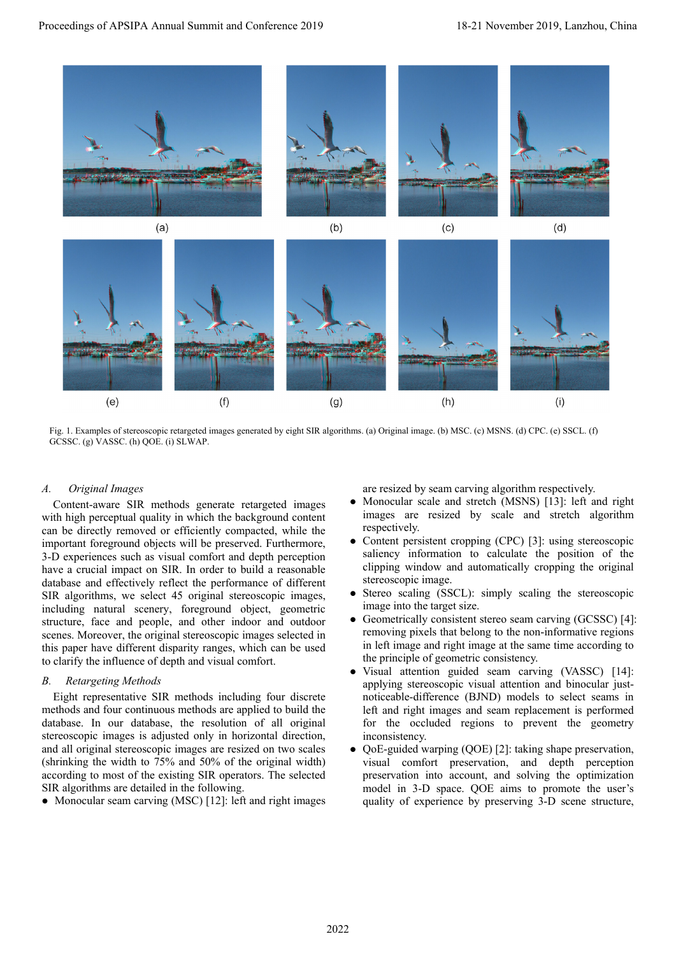

Fig. 1. Examples of stereoscopic retargeted images generated by eight SIR algorithms. (a) Original image. (b) MSC. (c) MSNS. (d) CPC. (e) SSCL. (f) GCSSC. (g) VASSC. (h) QOE. (i) SLWAP.

## *A. Original Images*

Content-aware SIR methods generate retargeted images with high perceptual quality in which the background content can be directly removed or efficiently compacted, while the important foreground objects will be preserved. Furthermore, 3-D experiences such as visual comfort and depth perception have a crucial impact on SIR. In order to build a reasonable database and effectively reflect the performance of different SIR algorithms, we select 45 original stereoscopic images, including natural scenery, foreground object, geometric structure, face and people, and other indoor and outdoor scenes. Moreover, the original stereoscopic images selected in this paper have different disparity ranges, which can be used to clarify the influence of depth and visual comfort.

## *B. Retargeting Methods*

Eight representative SIR methods including four discrete methods and four continuous methods are applied to build the database. In our database, the resolution of all original stereoscopic images is adjusted only in horizontal direction, and all original stereoscopic images are resized on two scales (shrinking the width to 75% and 50% of the original width) according to most of the existing SIR operators. The selected SIR algorithms are detailed in the following.

• Monocular seam carving (MSC) [12]: left and right images

are resized by seam carving algorithm respectively.

- Monocular scale and stretch (MSNS) [13]: left and right images are resized by scale and stretch algorithm respectively.
- Content persistent cropping (CPC) [3]: using stereoscopic saliency information to calculate the position of the clipping window and automatically cropping the original stereoscopic image.
- Stereo scaling (SSCL): simply scaling the stereoscopic image into the target size.
- Geometrically consistent stereo seam carving (GCSSC) [4]: removing pixels that belong to the non-informative regions in left image and right image at the same time according to the principle of geometric consistency.
- Visual attention guided seam carving (VASSC) [14]: applying stereoscopic visual attention and binocular justnoticeable-difference (BJND) models to select seams in left and right images and seam replacement is performed for the occluded regions to prevent the geometry inconsistency.
- QoE-guided warping (QOE) [2]: taking shape preservation, visual comfort preservation, and depth perception preservation into account, and solving the optimization model in 3-D space. QOE aims to promote the user's quality of experience by preserving 3-D scene structure,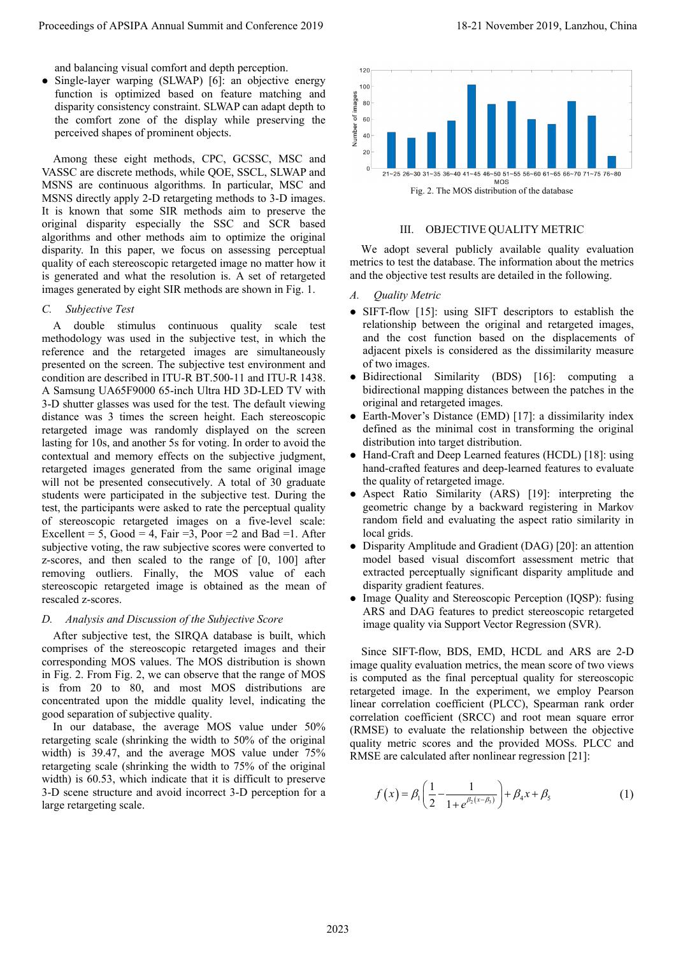and balancing visual comfort and depth perception.

• Single-layer warping (SLWAP) [6]: an objective energy function is optimized based on feature matching and disparity consistency constraint. SLWAP can adapt depth to the comfort zone of the display while preserving the perceived shapes of prominent objects.

Among these eight methods, CPC, GCSSC, MSC and VASSC are discrete methods, while QOE, SSCL, SLWAP and MSNS are continuous algorithms. In particular, MSC and MSNS directly apply 2-D retargeting methods to 3-D images. It is known that some SIR methods aim to preserve the original disparity especially the SSC and SCR based algorithms and other methods aim to optimize the original disparity. In this paper, we focus on assessing perceptual quality of each stereoscopic retargeted image no matter how it is generated and what the resolution is. A set of retargeted images generated by eight SIR methods are shown in Fig. 1.

*C. Subjective Test*

A double stimulus continuous quality scale test methodology was used in the subjective test, in which the reference and the retargeted images are simultaneously presented on the screen. The subjective test environment and condition are described in ITU-R BT.500-11 and ITU-R 1438. A Samsung UA65F9000 65-inch Ultra HD 3D-LED TV with 3-D shutter glasses was used for the test. The default viewing distance was 3 times the screen height. Each stereoscopic retargeted image was randomly displayed on the screen lasting for 10s, and another 5s for voting. In order to avoid the contextual and memory effects on the subjective judgment, retargeted images generated from the same original image will not be presented consecutively. A total of 30 graduate students were participated in the subjective test. During the test, the participants were asked to rate the perceptual quality of stereoscopic retargeted images on a five-level scale: Excellent = 5, Good = 4, Fair = 3, Poor = 2 and Bad = 1. After subjective voting, the raw subjective scores were converted to z-scores, and then scaled to the range of [0, 100] after removing outliers. Finally, the MOS value of each stereoscopic retargeted image is obtained as the mean of rescaled z-scores. Proceeding variation (a)  $\mu$  and Conference 2019 18-21 November 2019 18-21 November 2019 18-21 November 2019 18-21 November 2019 18-21 November 2019 18-21 November 2019 18-21 November 2019 18-21 November 2019 18-21 Novem

#### *D. Analysis and Discussion of the Subjective Score*

After subjective test, the SIRQA database is built, which comprises of the stereoscopic retargeted images and their corresponding MOS values. The MOS distribution is shown in Fig. 2. From Fig. 2, we can observe that the range of MOS is from 20 to 80, and most MOS distributions are concentrated upon the middle quality level, indicating the good separation of subjective quality.

In our database, the average MOS value under 50% retargeting scale (shrinking the width to 50% of the original width) is 39.47, and the average MOS value under 75% retargeting scale (shrinking the width to 75% of the original width) is 60.53, which indicate that it is difficult to preserve 3-D scene structure and avoid incorrect 3-D perception for a large retargeting scale.



#### III. OBJECTIVE QUALITY METRIC

We adopt several publicly available quality evaluation metrics to test the database. The information about the metrics and the objective test results are detailed in the following.

- *A. Quality Metric*
- SIFT-flow [15]: using SIFT descriptors to establish the relationship between the original and retargeted images, and the cost function based on the displacements of adjacent pixels is considered as the dissimilarity measure of two images.
- Bidirectional Similarity (BDS) [16]: computing a bidirectional mapping distances between the patches in the original and retargeted images.
- Earth-Mover's Distance (EMD) [17]: a dissimilarity index defined as the minimal cost in transforming the original distribution into target distribution.
- Hand-Craft and Deep Learned features (HCDL) [18]: using hand-crafted features and deep-learned features to evaluate the quality of retargeted image.
- Aspect Ratio Similarity (ARS) [19]: interpreting the geometric change by a backward registering in Markov random field and evaluating the aspect ratio similarity in local grids.
- Disparity Amplitude and Gradient (DAG) [20]: an attention model based visual discomfort assessment metric that extracted perceptually significant disparity amplitude and disparity gradient features.
- Image Quality and Stereoscopic Perception (IQSP): fusing ARS and DAG features to predict stereoscopic retargeted image quality via Support Vector Regression (SVR).

Since SIFT-flow, BDS, EMD, HCDL and ARS are 2-D image quality evaluation metrics, the mean score of two views is computed as the final perceptual quality for stereoscopic retargeted image. In the experiment, we employ Pearson linear correlation coefficient (PLCC), Spearman rank order correlation coefficient (SRCC) and root mean square error (RMSE) to evaluate the relationship between the objective quality metric scores and the provided MOSs. PLCC and RMSE are calculated after nonlinear regression [21]:

$$
f(x) = \beta_1 \left( \frac{1}{2} - \frac{1}{1 + e^{\beta_2 (x - \beta_3)}} \right) + \beta_4 x + \beta_5
$$
 (1)